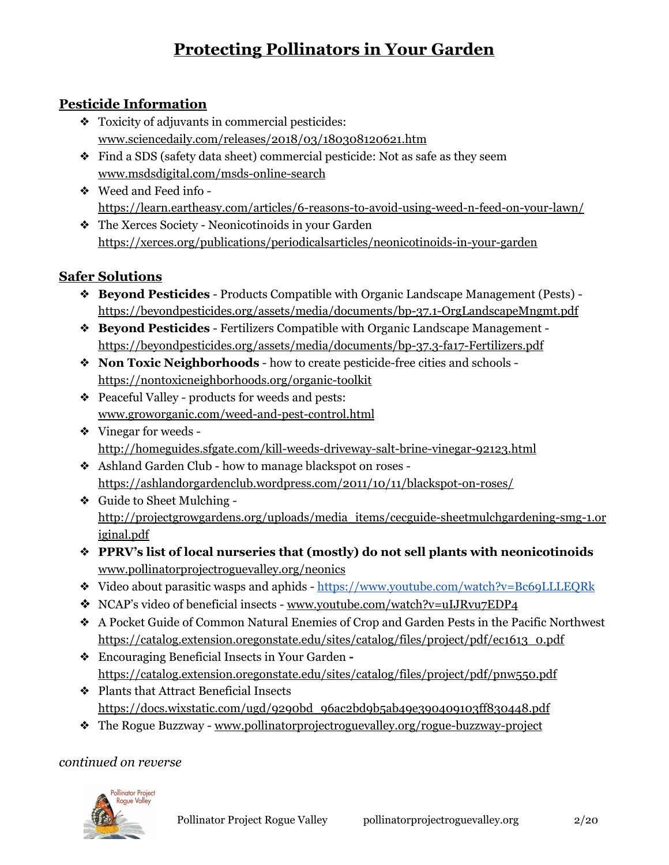# **Protecting Pollinators in Your Garden**

### **Pesticide Information**

- ❖ Toxicity of adjuvants in commercial pesticides: [www.sciencedaily.com/releases/2018/03/180308120621.htm](http://www.sciencedaily.com/releases/2018/03/180308120621.htm)
- ❖ Find a SDS (safety data sheet) commercial pesticide: Not as safe as they seem [www.msdsdigital.com/msds-online-search](https://www.msdsdigital.com/msds-online-search)
- ❖ Weed and Feed info <https://learn.eartheasy.com/articles/6-reasons-to-avoid-using-weed-n-feed-on-your-lawn/>
- ❖ The Xerces Society Neonicotinoids in your Garden <https://xerces.org/publications/periodicalsarticles/neonicotinoids-in-your-garden>

## **Safer Solutions**

- ❖ **Beyond Pesticides** Products Compatible with Organic Landscape Management (Pests) <https://beyondpesticides.org/assets/media/documents/bp-37.1-OrgLandscapeMngmt.pdf>
- ❖ **Beyond Pesticides** Fertilizers Compatible with Organic Landscape Management <https://beyondpesticides.org/assets/media/documents/bp-37.3-fa17-Fertilizers.pdf>
- ❖ **Non Toxic Neighborhoods** how to create pesticide-free cities and schools <https://nontoxicneighborhoods.org/organic-toolkit>
- ❖ Peaceful Valley products for weeds and pests: [www.groworganic.com/weed-and-pest-control.html](https://www.groworganic.com/weed-and-pest-control.html)
- ❖ Vinegar for weeds <http://homeguides.sfgate.com/kill-weeds-driveway-salt-brine-vinegar-92123.html>
- ❖ Ashland Garden Club how to manage blackspot on roses <https://ashlandorgardenclub.wordpress.com/2011/10/11/blackspot-on-roses/>
- ❖ Guide to Sheet Mulching [http://projectgrowgardens.org/uploads/media\\_items/cecguide-sheetmulchgardening-smg-1.or](http://projectgrowgardens.org/uploads/media_items/cecguide-sheetmulchgardening-smg-1.original.pdf) [iginal.pdf](http://projectgrowgardens.org/uploads/media_items/cecguide-sheetmulchgardening-smg-1.original.pdf)
- ❖ **PPRV's list of local nurseries that (mostly) do not sell plants with neonicotinoids** [www.pollinatorprojectroguevalley.org/neonics](http://www.pollinatorprojectroguevalley.org/neonics)
- ❖ Video about parasitic wasps and aphids <https://www.youtube.com/watch?v=Bc69LLLEQRk>
- ❖ NCAP's video of beneficial insects [www.youtube.com/watch?v=uIJRvu7EDP4](https://www.youtube.com/watch?v=uIJRvu7EDP4)
- ❖ A Pocket Guide of Common Natural Enemies of Crop and Garden Pests in the Pacific Northwest [https://catalog.extension.oregonstate.edu/sites/catalog/files/project/pdf/ec1613\\_0.pdf](https://catalog.extension.oregonstate.edu/sites/catalog/files/project/pdf/ec1613_0.pdf)
- ❖ Encouraging Beneficial Insects in Your Garden  <https://catalog.extension.oregonstate.edu/sites/catalog/files/project/pdf/pnw550.pdf>
- ❖ Plants that Attract Beneficial Insects [https://docs.wixstatic.com/ugd/9290bd\\_96ac2bd9b5ab49e390409103ff830448.pdf](https://docs.wixstatic.com/ugd/9290bd_96ac2bd9b5ab49e390409103ff830448.pdf)
- ❖ The Rogue Buzzway [www.pollinatorprojectroguevalley.org/rogue-buzzway-project](http://www.pollinatorprojectroguevalley.org/rogue-buzzway-project)

### *continued on reverse*